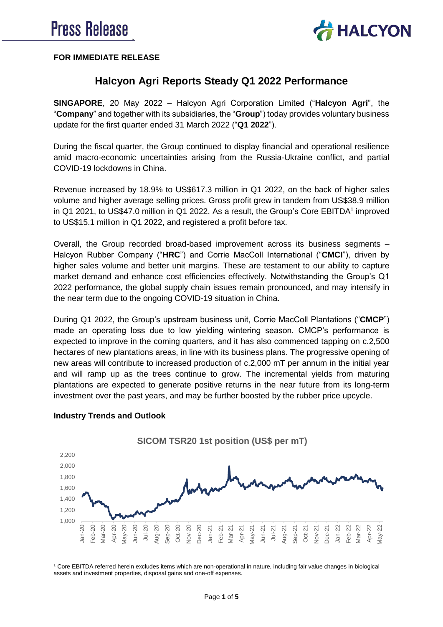

### **FOR IMMEDIATE RELEASE**

# **Halcyon Agri Reports Steady Q1 2022 Performance**

**SINGAPORE**, 20 May 2022 – Halcyon Agri Corporation Limited ("**Halcyon Agri**", the "**Company**" and together with its subsidiaries, the "**Group**") today provides voluntary business update for the first quarter ended 31 March 2022 ("**Q1 2022**").

During the fiscal quarter, the Group continued to display financial and operational resilience amid macro-economic uncertainties arising from the Russia-Ukraine conflict, and partial COVID-19 lockdowns in China.

Revenue increased by 18.9% to US\$617.3 million in Q1 2022, on the back of higher sales volume and higher average selling prices. Gross profit grew in tandem from US\$38.9 million in Q1 2021, to US\$47.0 million in Q1 2022. As a result, the Group's Core EBITDA<sup>1</sup> improved to US\$15.1 million in Q1 2022, and registered a profit before tax.

Overall, the Group recorded broad-based improvement across its business segments – Halcyon Rubber Company ("**HRC**") and Corrie MacColl International ("**CMCI**"), driven by higher sales volume and better unit margins. These are testament to our ability to capture market demand and enhance cost efficiencies effectively. Notwithstanding the Group's Q1 2022 performance, the global supply chain issues remain pronounced, and may intensify in the near term due to the ongoing COVID-19 situation in China.

During Q1 2022, the Group's upstream business unit, Corrie MacColl Plantations ("**CMCP**") made an operating loss due to low yielding wintering season. CMCP's performance is expected to improve in the coming quarters, and it has also commenced tapping on c.2,500 hectares of new plantations areas, in line with its business plans. The progressive opening of new areas will contribute to increased production of c.2,000 mT per annum in the initial year and will ramp up as the trees continue to grow. The incremental yields from maturing plantations are expected to generate positive returns in the near future from its long-term investment over the past years, and may be further boosted by the rubber price upcycle.



### **Industry Trends and Outlook**

 $\overline{a}$ <sup>1</sup> Core EBITDA referred herein excludes items which are non-operational in nature, including fair value changes in biological assets and investment properties, disposal gains and one-off expenses.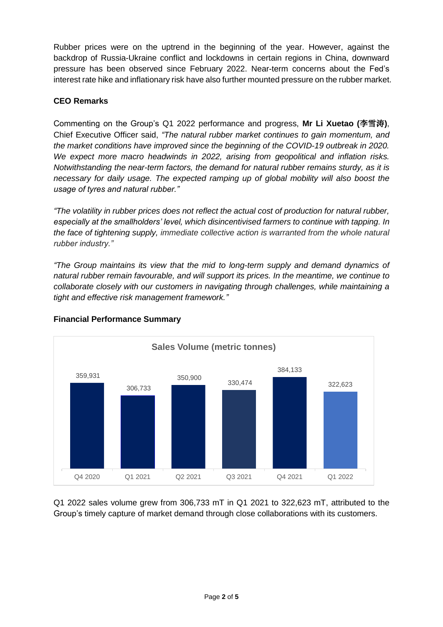Rubber prices were on the uptrend in the beginning of the year. However, against the backdrop of Russia-Ukraine conflict and lockdowns in certain regions in China, downward pressure has been observed since February 2022. Near-term concerns about the Fed's interest rate hike and inflationary risk have also further mounted pressure on the rubber market.

### **CEO Remarks**

Commenting on the Group's Q1 2022 performance and progress, **Mr Li Xuetao (**李雪涛**)**, Chief Executive Officer said, *"The natural rubber market continues to gain momentum, and the market conditions have improved since the beginning of the COVID-19 outbreak in 2020. We expect more macro headwinds in 2022, arising from geopolitical and inflation risks. Notwithstanding the near-term factors, the demand for natural rubber remains sturdy, as it is necessary for daily usage. The expected ramping up of global mobility will also boost the usage of tyres and natural rubber."*

*"The volatility in rubber prices does not reflect the actual cost of production for natural rubber, especially at the smallholders' level, which disincentivised farmers to continue with tapping. In the face of tightening supply, immediate collective action is warranted from the whole natural rubber industry."* 

*"The Group maintains its view that the mid to long-term supply and demand dynamics of natural rubber remain favourable, and will support its prices. In the meantime, we continue to collaborate closely with our customers in navigating through challenges, while maintaining a tight and effective risk management framework."*



## **Financial Performance Summary**

Q1 2022 sales volume grew from 306,733 mT in Q1 2021 to 322,623 mT, attributed to the Group's timely capture of market demand through close collaborations with its customers.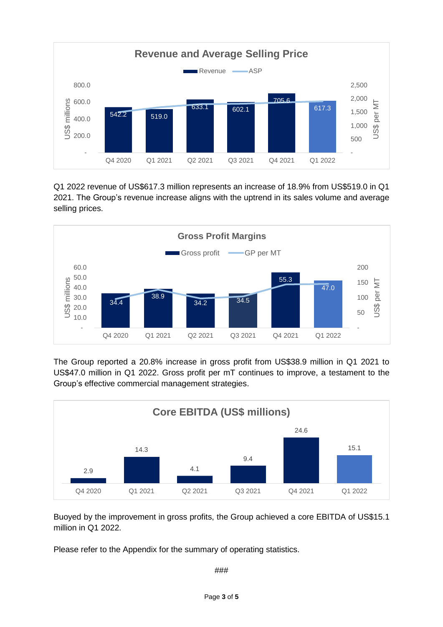

Q1 2022 revenue of US\$617.3 million represents an increase of 18.9% from US\$519.0 in Q1 2021. The Group's revenue increase aligns with the uptrend in its sales volume and average selling prices.



The Group reported a 20.8% increase in gross profit from US\$38.9 million in Q1 2021 to US\$47.0 million in Q1 2022. Gross profit per mT continues to improve, a testament to the Group's effective commercial management strategies.



Buoyed by the improvement in gross profits, the Group achieved a core EBITDA of US\$15.1 million in Q1 2022.

Please refer to the Appendix for the summary of operating statistics.

###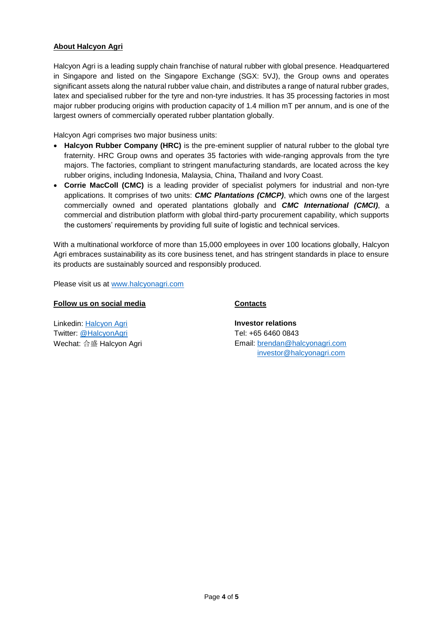#### **About Halcyon Agri**

Halcyon Agri is a leading supply chain franchise of natural rubber with global presence. Headquartered in Singapore and listed on the Singapore Exchange (SGX: 5VJ), the Group owns and operates significant assets along the natural rubber value chain, and distributes a range of natural rubber grades, latex and specialised rubber for the tyre and non-tyre industries. It has 35 processing factories in most major rubber producing origins with production capacity of 1.4 million mT per annum, and is one of the largest owners of commercially operated rubber plantation globally.

Halcyon Agri comprises two major business units:

- Halcyon Rubber Company (HRC) is the pre-eminent supplier of natural rubber to the global tyre fraternity. HRC Group owns and operates 35 factories with wide-ranging approvals from the tyre majors. The factories, compliant to stringent manufacturing standards, are located across the key rubber origins, including Indonesia, Malaysia, China, Thailand and Ivory Coast.
- **Corrie MacColl (CMC)** is a leading provider of specialist polymers for industrial and non-tyre applications. It comprises of two units: *CMC Plantations (CMCP)*, which owns one of the largest commercially owned and operated plantations globally and *CMC International (CMCI)*, a commercial and distribution platform with global third-party procurement capability, which supports the customers' requirements by providing full suite of logistic and technical services.

With a multinational workforce of more than 15,000 employees in over 100 locations globally, Halcyon Agri embraces sustainability as its core business tenet, and has stringent standards in place to ensure its products are sustainably sourced and responsibly produced.

Please visit us at [www.halcyonagri.com](http://www.halcyonagri.com/)

#### **Follow us on social media**

**Contacts**

Linkedin: [Halcyon Agri](https://sg.linkedin.com/company/halcyon-agri-corporation-limited) Twitter: [@HalcyonAgri](https://twitter.com/halcyonagri?lang=en) Wechat: 合盛 Halcyon Agri **Investor relations** Tel: +65 6460 0843 Email: [brendan@halcyonagri.com](mailto:brendan@halcyonagri.com) [investor@halcyonagri.com](mailto:investor@halcyonagri.com)